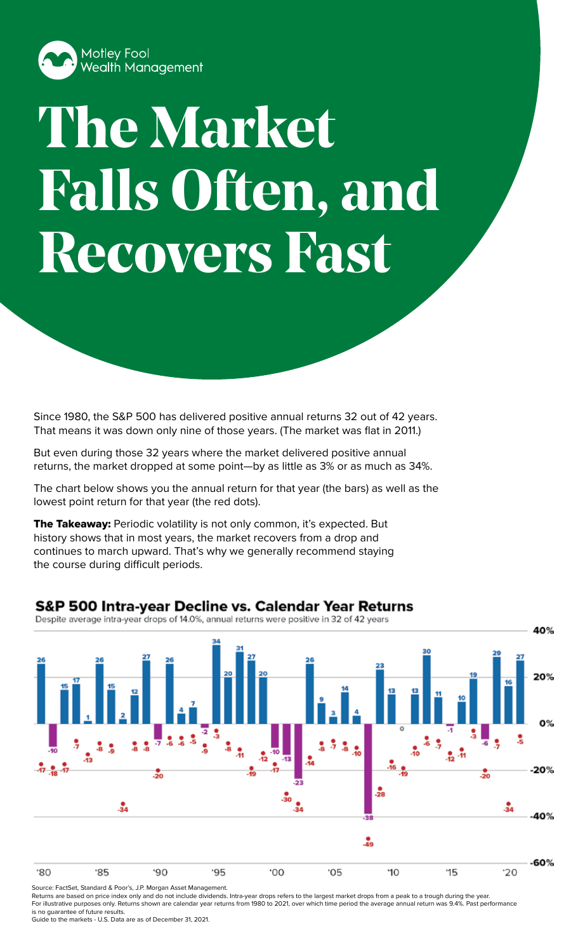

## **The Market Falls Often, and Recovers Fast**

Since 1980, the S&P 500 has delivered positive annual returns 32 out of 42 years. That means it was down only nine of those years. (The market was flat in 2011.)

But even during those 32 years where the market delivered positive annual returns, the market dropped at some point—by as little as 3% or as much as 34%.

The chart below shows you the annual return for that year (the bars) as well as the lowest point return for that year (the red dots).

The Takeaway: Periodic volatility is not only common, it's expected. But history shows that in most years, the market recovers from a drop and continues to march upward. That's why we generally recommend staying the course during difficult periods.

## **S&P 500 Intra-year Decline vs. Calendar Year Returns**

Despite average intra-year drops of 14.0%, annual returns were positive in 32 of 42 years



Source: FactSet, Standard & Poor's, J.P. Morgan Asset Management. Returns are based on price index only and do not include dividends. Intra-year drops refers to the largest market drops from a peak to a trough during the year. For illustrative purposes only. Returns shown are calendar year returns from 1980 to 2021, over which time period the average annual return was 9.4%. Past performance

is no guarantee of future results. Guide to the markets - U.S. Data are as of December 31, 2021.